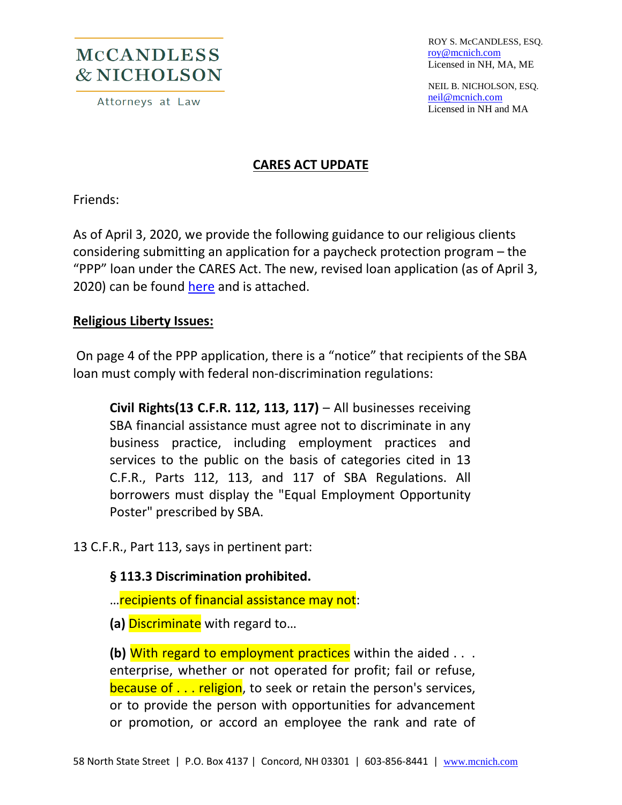## **MCCANDLESS** & NICHOLSON

Attorneys at Law

 ROY S. McCANDLESS, ESQ. [roy@mcnich.com](mailto:roy@mcnich.com) Licensed in NH, MA, ME

 NEIL B. NICHOLSON, ESQ. [neil@mcnich.com](mailto:neil@mcnich.com) Licensed in NH and MA

#### **CARES ACT UPDATE**

Friends:

As of April 3, 2020, we provide the following guidance to our religious clients considering submitting an application for a paycheck protection program – the "PPP" loan under the CARES Act. The new, revised loan application (as of April 3, 2020) can be found [here](https://home.treasury.gov/system/files/136/Paycheck-Protection-Program-Application-3-30-2020-v3.pdf) and is attached.

#### **Religious Liberty Issues:**

On page 4 of the PPP application, there is a "notice" that recipients of the SBA loan must comply with federal non-discrimination regulations:

**Civil Rights(13 C.F.R. 112, 113, 117)** – All businesses receiving SBA financial assistance must agree not to discriminate in any business practice, including employment practices and services to the public on the basis of categories cited in 13 C.F.R., Parts 112, 113, and 117 of SBA Regulations. All borrowers must display the "Equal Employment Opportunity Poster" prescribed by SBA.

13 C.F.R., Part 113, says in pertinent part:

#### **§ 113.3 Discrimination prohibited.**

…recipients of financial assistance may not:

**(a)** Discriminate with regard to…

**(b)** With regard to employment practices within the aided . . . enterprise, whether or not operated for profit; fail or refuse, because of . . . religion, to seek or retain the person's services, or to provide the person with opportunities for advancement or promotion, or accord an employee the rank and rate of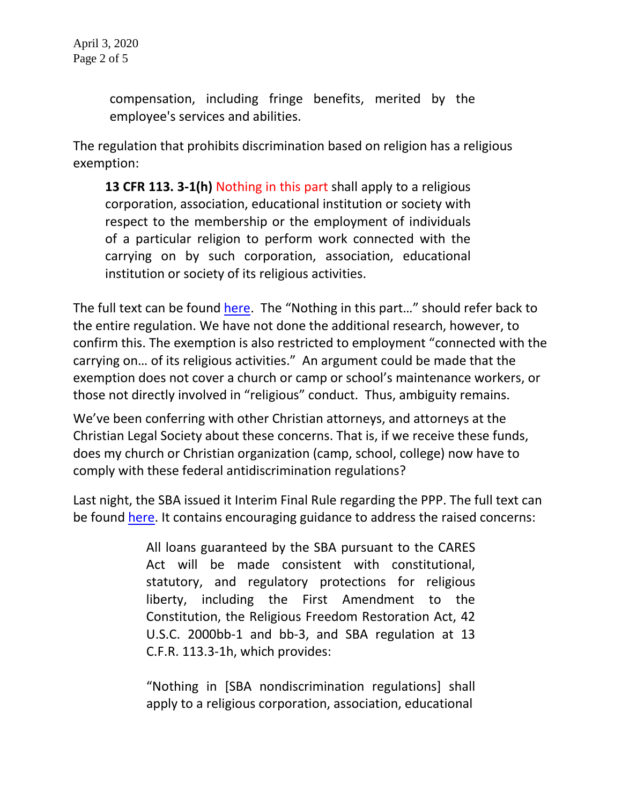compensation, including fringe benefits, merited by the employee's services and abilities.

The regulation that prohibits discrimination based on religion has a religious exemption:

**13 CFR 113. 3-1(h)** Nothing in this part shall apply to a religious corporation, association, educational institution or society with respect to the membership or the employment of individuals of a particular religion to perform work connected with the carrying on by such corporation, association, educational institution or society of its religious activities.

The full text can be found [here.](https://www.law.cornell.edu/cfr/text/13/113.3-1) The "Nothing in this part..." should refer back to the entire regulation. We have not done the additional research, however, to confirm this. The exemption is also restricted to employment "connected with the carrying on… of its religious activities." An argument could be made that the exemption does not cover a church or camp or school's maintenance workers, or those not directly involved in "religious" conduct. Thus, ambiguity remains.

We've been conferring with other Christian attorneys, and attorneys at the Christian Legal Society about these concerns. That is, if we receive these funds, does my church or Christian organization (camp, school, college) now have to comply with these federal antidiscrimination regulations?

Last night, the SBA issued it Interim Final Rule regarding the PPP. The full text can be found [here.](https://home.treasury.gov/system/files/136/PPP--IFRN%20FINAL.pdf) It contains encouraging guidance to address the raised concerns:

> All loans guaranteed by the SBA pursuant to the CARES Act will be made consistent with constitutional, statutory, and regulatory protections for religious liberty, including the First Amendment to the Constitution, the Religious Freedom Restoration Act, 42 U.S.C. 2000bb-1 and bb-3, and SBA regulation at 13 C.F.R. 113.3-1h, which provides:

> "Nothing in [SBA nondiscrimination regulations] shall apply to a religious corporation, association, educational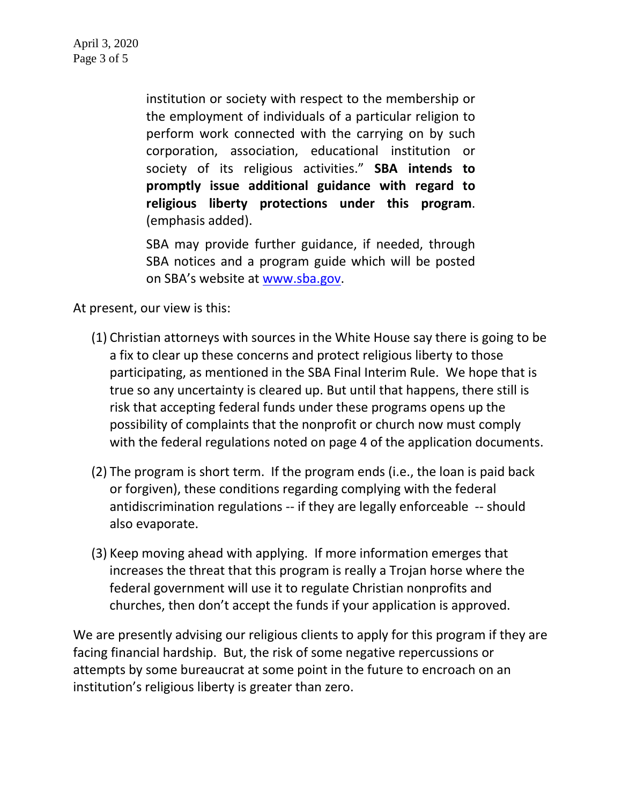institution or society with respect to the membership or the employment of individuals of a particular religion to perform work connected with the carrying on by such corporation, association, educational institution or society of its religious activities." **SBA intends to promptly issue additional guidance with regard to religious liberty protections under this program**. (emphasis added).

SBA may provide further guidance, if needed, through SBA notices and a program guide which will be posted on SBA's website at [www.sba.gov.](http://www.sba.gov/)

At present, our view is this:

- (1) Christian attorneys with sources in the White House say there is going to be a fix to clear up these concerns and protect religious liberty to those participating, as mentioned in the SBA Final Interim Rule. We hope that is true so any uncertainty is cleared up. But until that happens, there still is risk that accepting federal funds under these programs opens up the possibility of complaints that the nonprofit or church now must comply with the federal regulations noted on page 4 of the application documents.
- (2) The program is short term. If the program ends (i.e., the loan is paid back or forgiven), these conditions regarding complying with the federal antidiscrimination regulations -- if they are legally enforceable -- should also evaporate.
- (3) Keep moving ahead with applying. If more information emerges that increases the threat that this program is really a Trojan horse where the federal government will use it to regulate Christian nonprofits and churches, then don't accept the funds if your application is approved.

We are presently advising our religious clients to apply for this program if they are facing financial hardship. But, the risk of some negative repercussions or attempts by some bureaucrat at some point in the future to encroach on an institution's religious liberty is greater than zero.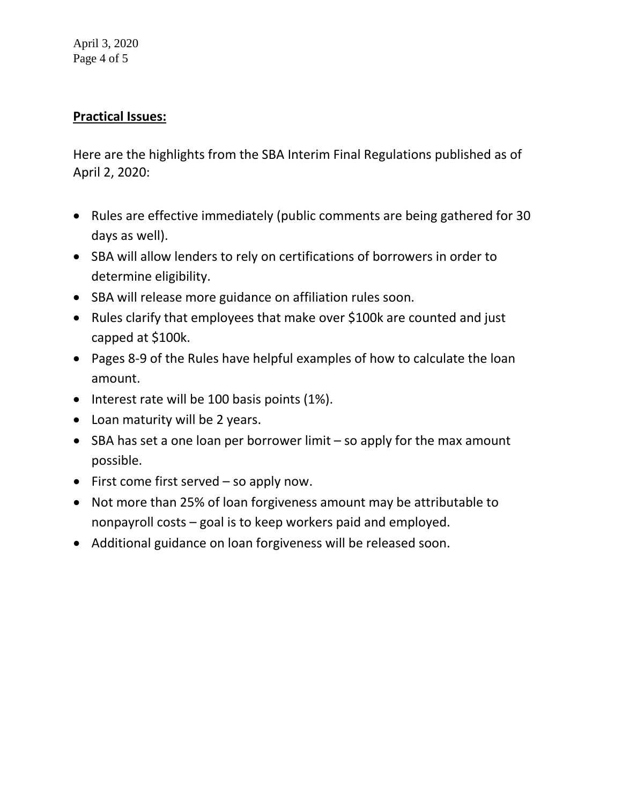April 3, 2020 Page 4 of 5

### **Practical Issues:**

Here are the highlights from the SBA Interim Final Regulations published as of April 2, 2020:

- Rules are effective immediately (public comments are being gathered for 30 days as well).
- SBA will allow lenders to rely on certifications of borrowers in order to determine eligibility.
- SBA will release more guidance on affiliation rules soon.
- Rules clarify that employees that make over \$100k are counted and just capped at \$100k.
- Pages 8-9 of the Rules have helpful examples of how to calculate the loan amount.
- Interest rate will be 100 basis points (1%).
- Loan maturity will be 2 years.
- SBA has set a one loan per borrower limit so apply for the max amount possible.
- First come first served so apply now.
- Not more than 25% of loan forgiveness amount may be attributable to nonpayroll costs – goal is to keep workers paid and employed.
- Additional guidance on loan forgiveness will be released soon.